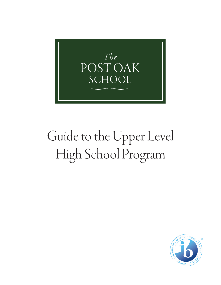

# Guide to the Upper Level High School Program

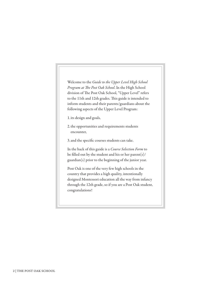Welcome to the *Guide to the Upper Level High School Program at The Post Oak School*. In the High School division of The Post Oak School, "Upper Level" refers to the 11th and 12th grades. This guide is intended to inform students and their parents/guardians about the following aspects of the Upper Level Program:

1.its design and goals,

2.the opportunities and requirements students encounter,

3.and the specific courses students can take.

In the back of this guide is a *Course Selection Form* to be filled out by the student and his or her parent(s)/ guardian(s) prior to the beginning of the junior year.

Post Oak is one of the very few high schools in the country that provides a high quality, intentionally designed Montessori education all the way from infancy through the 12th grade, so if you are a Post Oak student, congratulations!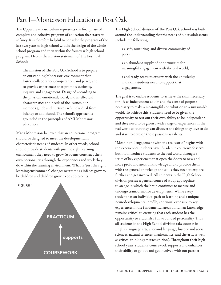## Part I—Montessori Education at Post Oak

The Upper Level curriculum represents the final phase of a complete and cohesive program of education that starts at infancy. It is therefore helpful to consider the program of the last two years of high school within the design of the whole school program and then within the four-year high school program. Here is the mission statement of The Post Oak School:

The mission of The Post Oak School is to prepare an outstanding Montessori environment that fosters collaboration, cooperation, and peace, and to provide experiences that promote curiosity, inquiry, and engagement. Designed according to the physical, emotional, social, and intellectual characteristics and needs of the learner, our methods guide and nurture each individual from infancy to adulthood. The school's approach is grounded in the principles of AMI Montessori education.

Maria Montessori believed that an educational program should be designed to meet the developmentally characteristic needs of students. In other words, school should provide students with just the right learning environment they need to grow. Students construct their own personalities through the experiences and work they do within the learning environment. What is "just the right learning environment" changes over time as infants grow to be children and children grow to be adolescents.



The High School division of The Post Oak School was built around the understanding that the needs of older adolescents include the following:

◆ a safe, nurturing, and diverse community of peers,

◆ an abundant supply of opportunities for meaningful engagement with the real world,

◆ and ready access to experts with the knowledge and skills students need to support that engagement.

The goal is to enable students to achieve the skills necessary for life as independent adults and the sense of purpose necessary to make a meaningful contribution to a sustainable world. To achieve this, students need to be given the opportunity to test out their own ability to be independent, and they need to be given a wide range of experiences in the real world so that they can discover the things they love to do and start to develop those passions as talents.

"Meaningful engagement with the real world" begins with the experiences students have. Academic coursework serves both to introduce students to the real world through a series of key experiences that open the doors to new and more profound areas of knowledge and to provide them with the general knowledge and skills they need to explore further and get involved. All students in the High School division pursue a general course of study appropriate to an age in which the brain continues to mature and undergo transformative developments. While every student has an individual path to learning and a unique neurodevelopmental profile, continual exposure to key experiences in the fundamental areas of human knowledge remains critical to ensuring that each student has the opportunity to establish a fully-rounded personality. Thus all students in the High School division take courses in English language arts, a second language, history and social sciences, natural sciences, mathematics, and the arts, as well as critical thinking (metacognition). Throughout their high school years, students' coursework supports and enhances their ability to go out and get involved with our partner COURSEWORK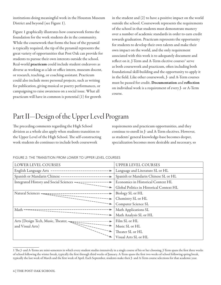institutions doing meaningful work in the Houston Museum District and beyond (see Figure 1).

Figure 1 graphically illustrates how coursework forms the foundation for the work students do in the community. While the coursework that forms the base of the pyramid is typically required, the tip of the pyramid represents the great variety of opportunities that Post Oak can provide for students to pursue their own interests outside the school. Real-world practicum could include student endeavors as diverse as working as a lab or office intern, museum docent, or research, teaching, or coaching assistant. Practicum could also include more personal projects, such as writing for publication, giving musical or poetry performances, or campaigning to raise awareness on a social issue. What all practicum will have in common is potential (1) for growth

in the student and (2) to have a positive impact on the world outside the school. Coursework represents the requirements of the school in that students must demonstrate mastery over a number of academic standards in order to earn credit towards graduation. Practicum represents the opportunity for students to develop their own talents and make their own impact on the world, and the only requirement associated with this work is to adequately document and reflect on it. J-Term and A-Term elective courses<sup>1</sup> serve as both coursework and practicum, often including both foundational skill-building and the opportunity to apply it in the field. Like other coursework, J- and A-Term courses must be passed for credit. Documentation and reflection on individual work is a requirement of every J- or A-Term course.

# Part II—Design of the Upper Level Program

The preceding comments regarding the High School division as a whole also apply when students transition to the Upper Level of the High School. The self-constructing work students do continues to include both coursework

requirements and practicum opportunities, and they continue to enroll in J- and A-Term electives. However, as students' general knowledge-base becomes deeper, specialization becomes more desirable and necessary, so

#### FIGURE 2: THE TRANSITION FROM LOWER TO UPPER LEVEL COURSES

| LOWER LEVEL COURSES                                    | <b>UPPER LEVEL COURSES</b>               |
|--------------------------------------------------------|------------------------------------------|
| English Language Arts ----------------------           | Language and Literature SL or HL         |
|                                                        | Spanish or Mandarin Chinese SL or HL     |
| Integrated History and Social Sciences ======          | Economics in Historical Context HL       |
|                                                        | Global Politics in Historical Context HL |
| Natural Sciences $=\equiv \equiv \equiv \equiv \equiv$ | Biology SL or HL                         |
|                                                        | Chemistry SL or HL                       |
|                                                        | Computer Science SL                      |
| Math                                                   | Math Applications SL                     |
|                                                        | Math Analysis SL or HL                   |
| Arts (Design Tech, Music, Theater, -==========         | Film SL or HL                            |
| and Visual Arts)                                       | Music SL or HL                           |
|                                                        | Theater SL or HL                         |
|                                                        | Visual Arts SL or HL                     |

<sup>1</sup> The J- and A-Terms are mini-semesters in which every student studies intensively in a single course of his or her choosing. J-Term spans the first three weeks of school following the winter break, typically the first through third weeks of January. A-Term spans the first two weeks of school following spring break, typically the last week of March and the first week of April. Each September, students make their J- and A-Term course selections for that academic year.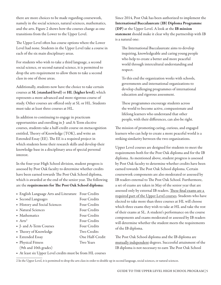there are more choices to be made regarding coursework, namely in the social sciences, natural sciences, mathematics, and the arts. Figure 2 shows how the courses change as one transitions from the Lower to the Upper Level.

The Upper Level often has course options where the Lower Level had none. Students in the Upper Level take a course in each of the six main disciplinary areas.

For students who wish to take a third language, a second social science, or second natural science, it is permitted to drop the arts requirement to allow them to take a second class in one of those areas.

Additionally, students now have the choice to take certain courses at SL (standard level) or HL (higher level), which represents a more advanced and more rigorous course of study. Other courses are offered only at SL or HL. Students must take at least three courses at HL.

In addition to continuing to engage in practicum opportunities and enrolling in J- and A-Term elective courses, students take a half-credit course on metacognition entitled, Theory of Knowledge (TOK), and write an Extended Essay (EE). The EE is a required project in which students hone their research skills and develop their knowledge base in a disciplinary area of special personal interest.

In the four-year High School division, student progress is assessed by Post Oak faculty to determine whether credits have been earned towards The Post Oak School diploma, which is awarded at the end of the senior year. The following are the requirements for The Post Oak School diploma:

◆ English Language Arts and Literature Four Credits • Second Languages Four Credits • History and Social Sciences Four Credits • Natural Sciences Four Credits • Mathematics Four Credits ◆ Arts<sup>2</sup> Four Credits ◆ J- and A-Term Courses Four Credits ◆ Theory of Knowledge Two Credits ◆ Extended Essay One Half-Credit ◆ Physical Fitness Two Years (9th and 10th grades)

◆ At least six Upper Level credits must be from HL courses

Since 2014, Post Oak has been authorized to implement the International Baccalaureate (IB) Diploma Programme (DP) at the Upper Level. A look at the IB mission statement should make it clear why the partnership with IB is a natural one:

The International Baccalaureate aims to develop inquiring, knowledgeable and caring young people who help to create a better and more peaceful world through intercultural understanding and respect.

To this end the organization works with schools, governments and international organizations to develop challenging programmes of international education and rigorous assessment.

These programmes encourage students across the world to become active, compassionate and lifelong learners who understand that other people, with their differences, can also be right.

The mission of promoting caring, curious, and engaged learners who can help to create a more peaceful world is a striking similarity between the two organizations.

Upper Level courses are designed for students to meet the requirements both for the Post Oak diploma and for the IB diploma. As mentioned above, student progress is assessed by Post Oak faculty to determine whether credits have been earned towards The Post Oak School diploma. Certain coursework components are also moderated or assessed by IB readers external to The Post Oak School. Furthermore, a set of exams are taken in May of the senior year that are assessed only by external IB readers. These final exams are a required part of the Upper Level courses. Students who have elected to take more than three courses at HL will choose which three exams they wish to take at HL and take the rest of their exams at SL. A student's performance on the course components and exams moderated or assessed by IB readers will determine whether the student meets the requirements of the IB diploma.

The Post Oak School diploma and the IB diploma are mutually independent degrees. Successful attainment of the IB diploma is not necessary to earn The Post Oak School

2 In the Upper Level, it is permitted to drop the arts class in order to double up in second language, social sciences, or natural sciences.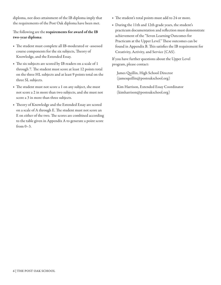diploma, nor does attainment of the IB diploma imply that the requirements of the Post Oak diploma have been met.

The following are the requirements for award of the IB two-year diploma:

- ◆ The student must complete all IB-moderated or -assessed course components for the six subjects, Theory of Knowledge, and the Extended Essay.
- ◆ The six subjects are scored by IB readers on a scale of 1 through 7. The student must score at least 12 points total on the three HL subjects and at least 9 points total on the three SL subjects.
- ◆ The student must not score a 1 on any subject, she must not score a 2 in more than two subjects, and she must not score a 3 in more than three subjects.
- ◆ Theory of Knowledge and the Extended Essay are scored on a scale of A through E. The student must not score an E on either of the two. The scores are combined according to the table given in Appendix A to generate a point score from 0–3.
- The student's total points must add to 24 or more.
- ◆ During the 11th and 12th grade years, the student's practicum documentation and reflection must demonstrate achievement of the "Seven Learning Outcomes for Practicum at the Upper Level." These outcomes can be found in Appendix B. This satisfies the IB requirement for Creativity, Activity, and Service (CAS).

If you have further questions about the Upper Level program, please contact:

James Quillin, High School Director (jamesquillin@postoakschool.org)

Kim Harrison, Extended Essay Coordinator (kimharrison@postoakschool.org)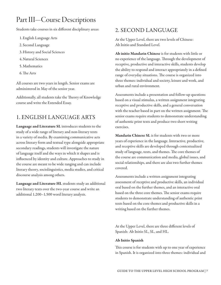## Part III—Course Descriptions

Students take courses in six different disciplinary areas:

- 1.English Language Arts
- 2. Second Language
- 3.History and Social Sciences
- 4.Natural Sciences
- 5.Mathematics
- 6.The Arts

All courses are two years in length. Senior exams are administered in May of the senior year.

Additionally, all students take the Theory of Knowledge course and write the Extended Essay.

#### 1. ENGLISH LANGUAGE ARTS

Language and Literature SL introduces students to the study of a wide range of literary and non-literary texts in a variety of media. By examining communicative acts across literary form and textual type alongside appropriate secondary readings, students will investigate the nature of language itself and the ways in which it shapes and is influenced by identity and culture. Approaches to study in the course are meant to be wide ranging and can include literary theory, sociolinguistics, media studies, and critical discourse analysis among others.

Language and Literature HL students study an additional two literary texts over the two-year course and write an additional 1,200–1,500 word literary analysis.

#### 2. SECOND LANGUAGE

At the Upper Level, there are two levels of Chinese: Ab Initio and Standard Level.

Ab initio Mandarin Chinese is for students with little or no experience of the language. Through the development of receptive, productive and interactive skills, students develop the ability to respond and interact appropriately in a defined range of everyday situations. The course is organized into three themes: individual and society, leisure and work, and urban and rural environment.

Assessments include a presentation and follow-up questions based on a visual stimulus, a written assignment integrating receptive and productive skills, and a general conversation with the teacher based in part on the written assignment. The senior exams require students to demonstrate understanding of authentic print texts and produce two short writing exercises.

Mandarin Chinese SL is for students with two or more years of experience in the language. Interactive, productive, and receptive skills are developed through contextualized study of language, texts, and themes. The core themes of the course are communication and media, global issues, and social relationships, and there are also two further themes covered.

Assessments include a written assignment integrating assessment of receptive and productive skills, an individual oral based on the further themes, and an interactive oral based on the three core themes. The senior exams require students to demonstrate understanding of authentic print texts based on the core themes and productive skills in a writing based on the further themes.

At the Upper Level, there are three different levels of Spanish: Ab Initio SL, SL, and HL.

#### Ab Initio Spanish

This course is for students with up to one year of experience in Spanish. It is organized into three themes: individual and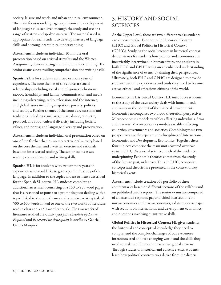society, leisure and work, and urban and rural environment. The main focus is on language acquisition and development of language skills, achieved through the study and use of a range of written and spoken material. The material used is appropriate for each student to develop mastery of language skills and a strong intercultural understanding.

Assessments include an individual 10-minute oral presentation based on a visual stimulus and the Written Assignment, demonstrating intercultural understanding. The senior exams assess reading comprehension and writing skills.

Spanish SL is for students with two or more years of experience. The core themes of the course are social relationships including social and religious celebrations, taboos, friendships, and family; communication and media including advertising, radio, television, and the internet; and global issues including migration, poverty, politics, and ecology. Further themes of the course are customs and traditions including visual arts, music, dance, etiquette, protocol, and food; cultural diversity including beliefs, values, and norms; and language diversity and preservation.

Assessments include an individual oral presentation based on one of the further themes, an interactive oral activity based on the core themes, and a written exercise and rationale based on intertextual reading. The senior exams assess reading comprehension and writing skills.

Spanish HL is for students with two or more years of experience who would like to go deeper in the study of the language. In addition to the topics and assessments described for the Spanish SL course, HL students complete an additional assessment consisting of a 150 to 250 word paper that is a reasoned response to a prompting text dealing with a topic linked to the core themes and a creative writing task of 500 to 600 words linked to one of the two works of literature read in class and a 150-word rationale. The two works of literature studied are *Como agua para chocolate by Laura Esquivel* and *El coronel no tiene quién le ascribe* by Gabriel García Marquez.

### 3. HISTORY AND SOCIAL SCIENCES

At the Upper Level, there are two different tracks students can choose to take: Economics in Historical Context (EHC) and Global Politics in Historical Context (GPHC). Studying the social sciences in historical context demonstrates for students how politics and economics are inextricably intertwined in human affairs, and students in both EHC and GPHC will gain an enhanced understanding of the significance of events by sharing their perspectives. Ultimately, both EHC and GPHC are designed to provide students with the experiences and tools they need to become active, ethical, and efficacious citizens of the world.

Economics in Historical Context HL introduces students to the study of the ways society deals with human needs and wants in the context of the material environment. Economics encompasses two broad theoretical perspectives. Microeconomics models variables affecting individuals, firms and markets. Macroeconomics models variables affecting countries, governments and societies. Combining these two perspectives are the separate sub-disciplines of International Economics and Development Economics. Together these four subjects comprise the main units covered over two years in EHC. As a social science, much of the evidence underpinning Economic theories comes from the study of the human past, or history. Thus, in EHC, economic concepts and theories are presented in the context of key historical events.

Assessments include creation of a portfolio of three commentaries based on different sections of the syllabus and on published media reports. The senior exams are comprised of an extended response paper divided into sections on microeconomics and macroeconomics, a data response paper with sections on international and development economics, and questions involving quantitative skills.

Global Politics in Historical Context HL gives students the historical and conceptual knowledge they need to comprehend the complex challenges of our ever-more interconnected and fast-changing world and the skills they need to make a difference in it as active global citizens. Through studies of historical and current events, students learn how political controversies derive from the diverse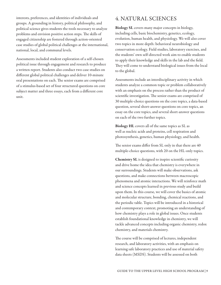interests, preferences, and identities of individuals and groups. A grounding in history, political philosophy, and political science gives students the tools necessary to analyze problems and envision positive action steps. The skills of engaged citizenship are fostered through action-oriented case studies of global political challenges at the international, national, local, and communal levels.

Assessments included student exploration of a self-chosen political issue through engagement and research to produce a written report. Students also conduct two case studies on different global political challenges and deliver 10-minute oral presentations on each. The senior exams are comprised of a stimulus-based set of four structured questions on core subject matter and three essays, each from a different core unit.

#### 4. NATURAL SCIENCES

Biology SL covers many major concepts in biology, including cells, basic biochemistry, genetics, ecology, evolution, human health, and physiology. We will also cover two topics in more depth: behavioral neurobiology and conservation ecology. Field studies, laboratory exercises, and the students' own self-directed work aim to enable students to apply their knowledge and skills in the lab and the field. They will come to understand biological issues from the local to the global.

Assessments include an interdisciplinary activity in which students analyze a common topic or problem collaboratively with an emphasis on the process rather than the product of scientific investigation. The senior exams are comprised of 30 multiple-choice questions on the core topics, a data-based question, several short-answer questions on core topics, an essay on the core topics, and several short-answer questions on each of the two further topics.

Biology HL covers all of the same topics as SL as well as nucleic acids and proteins, cell respiration and photosynthesis, genetics, human physiology, and health.

The senior exams differ from SL only in that there are 40 multiple-choice questions, with 20 on the HL-only topics.

Chemistry SL is designed to inspire scientific curiosity and drive home the idea that chemistry is everywhere in our surroundings. Students will make observations, ask questions, and make connections between macroscopic phenomena and atomic interactions. We will reinforce math and science concepts learned in previous study and build upon them. In this course, we will cover the basics of atomic and molecular structure, bonding, chemical reactions, and the periodic table. Topics will be introduced in a historical and contemporary context, promoting an understanding of how chemistry plays a role in global issues. Once students establish foundational knowledge in chemistry, we will tackle advanced concepts including organic chemistry, redox chemistry, and materials chemistry.

The course will be comprised of lectures, independent research, and laboratory activities, with an emphasis on learning safe laboratory practices and use of material safety data sheets (MSDS). Students will be assessed on both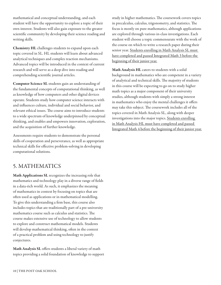mathematical and conceptual understanding, and each student will have the opportunity to explore a topic of their own interest. Students will also gain exposure to the greater scientific community by developing their science reading and writing skills.

Chemistry HL challenges students to expand upon each topic covered in SL. HL students will learn about advanced analytical techniques and complex reaction mechanisms. Advanced topics will be introduced in the context of current research and will serve as a deep dive into reading and comprehending scientific journal articles.

Computer Science SL students gain an understanding of the fundamental concepts of computational thinking, as well as knowledge of how computers and other digital devices operate. Students study how computer science interacts with and influences culture, individual and social behavior, and relevant ethical issues. The course aims to introduce students to a wide spectrum of knowledge underpinned by conceptual thinking, and enables and empowers innovation, exploration, and the acquisition of further knowledge.

Assessments require students to demonstrate the personal skills of cooperation and perseverance, as well as appropriate technical skills for effective problem-solving in developing computational solutions.

#### 5. MATHEMATICS

Math Applications SL recognizes the increasing role that mathematics and technology play in a diverse range of fields in a data-rich world. As such, it emphasizes the meaning of mathematics in context by focusing on topics that are often used as applications or in mathematical modelling. To give this understanding a firm base, this course also includes topics that are traditionally part of a pre-university mathematics course such as calculus and statistics. The course makes extensive use of technology to allow students to explore and construct mathematical models. Students will develop mathematical thinking, often in the context of a practical problem and using technology to justify conjectures.

Math Analysis SL offers students a liberal variety of math topics providing a solid foundation of knowledge to support study in higher mathematics. The coursework covers topics in precalculus, calculus, trigonometry, and statistics. The focus is mostly on pure mathematics, although applications are explored through various in-class investigations. Each student will choose a topic commensurate with the work of the course on which to write a research paper during their senior year. Students enrolling in Math Analysis SL must have completed and passed Integrated Math 3 before the beginning of their junior year.

Math Analysis HL caters to students with a solid background in mathematics who are competent in a variety of analytical and technical skills. The majority of students in this course will be expecting to go on to study higher math topics as a major component of their university studies, although students with simply a strong interest in mathematics who enjoy the mental challenges it offers may take this subject. The coursework includes all of the topics covered in Math Analysis SL, along with deeper investigations into the major topics. Students enrolling in Math Analysis HL must have completed and passed Integrated Math 4 before the beginning of their junior year.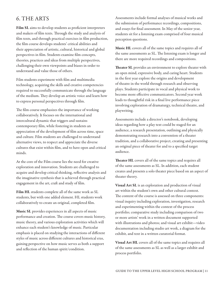#### 6. THE ARTS

Film SL aims to develop students as proficient interpreters and makers of film texts. Through the study and analysis of film texts, and through practical exercises in film production, the film course develops students' critical abilities and their appreciation of artistic, cultural, historical and global perspectives in film. Students examine film concepts, theories, practices and ideas from multiple perspectives, challenging their own viewpoints and biases in order to understand and value those of others.

Film students experiment with film and multimedia technology, acquiring the skills and creative competencies required to successfully communicate through the language of the medium. They develop an artistic voice and learn how to express personal perspectives through film.

The film course emphasizes the importance of working collaboratively. It focuses on the international and intercultural dynamic that triggers and sustains contemporary film, while fostering in students an appreciation of the development of film across time, space and culture. Film students are challenged to understand alternative views, to respect and appreciate the diverse cultures that exist within film, and to have open and critical minds.

At the core of the Film course lies the need for creative exploration and innovation. Students are challenged to acquire and develop critical thinking, reflective analysis and the imaginative synthesis that is achieved through practical engagement in the art, craft and study of film.

Film HL students complete all of the same work as SL students, but with one added element. HL students work collaboratively to create an original, completed film.

Music SL provides experiences in all aspects of music performance and creation. The course covers music history, music theory, and various exploration activities which will enhance each student's knowledge of music. Particular emphasis is placed on studying the interactions of different styles of music across different cultures and historical eras, gaining perspective on how music serves as both a support and reflection of the human spirit/condition.

Assessments include formal analyses of musical works and the submission of performance recordings, compositions, and essays for final assessment. In May of the senior year, students sit for a listening exam comprised of four musical perception questions.

Music HL covers all of the same topics and requires all of the same assessments as SL. The listening exam is longer and there are more required recordings and compositions.

Theater SL provides an environment to explore theater with an open mind, expressive body, and caring heart. Students in the first year explore the origins and development of theatre in the world through research and observing plays. Students participate in vocal and physical work to become more effective communicators. Second year work leads to thoughtful risk in a final live performance piece involving exploration of dramaturgy, technical theatre, and playwriting.

Assessments include a director's notebook, developing ideas regarding how a play text could be staged for an audience, a research presentation, outlining and physically demonstrating research into a convention of a theater tradition, and a collaborative project, creating and presenting an original piece of theater for and to a specified target audience.

Theater HL covers all of the same topics and requires all of the same assessments as SL. In addition, each student creates and presents a solo theater piece based on an aspect of theater theory.

**Visual Art SL** is an exploration and production of visual art within the student's own and other cultural context. The content of the course is assessed on three components: visual inquiry including exploration, investigation, research and experimenting within the context of the process portfolio; comparative study including comparison of two or more artists' work in a written document supported with illustrations and photos; and visual art exhibit—video documentation including studio art work, a diagram for the exhibit, and text in a written curatorial format.

Visual Art HL covers all of the same topics and requires all of the same assessments as SL as well as a larger exhibit and process portfolio.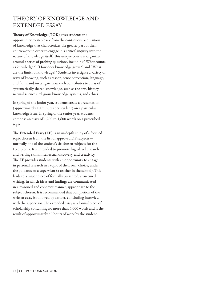## THEORY OF KNOWLEDGE AND EXTENDED ESSAY

Theory of Knowledge (TOK) gives students the opportunity to step back from the continuous acquisition of knowledge that characterizes the greater part of their coursework in order to engage in a critical inquiry into the nature of knowledge itself. This unique course is organized around a series of probing questions, including "What counts as knowledge?", "How does knowledge grow?", and "What are the limits of knowledge?" Students investigate a variety of ways of knowing, such as reason, sense perception, language, and faith, and investigate how each contributes to areas of systematically shared knowledge, such as the arts, history, natural sciences, religious knowledge systems, and ethics.

In spring of the junior year, students create a presentation (approximately 10 minutes per student) on a particular knowledge issue. In spring of the senior year, students compose an essay of 1,200 to 1,600 words on a prescribed topic.

The Extended Essay (EE) is an in-depth study of a focused topic chosen from the list of approved DP subjects normally one of the student's six chosen subjects for the IB diploma. It is intended to promote high-level research and writing skills, intellectual discovery, and creativity. The EE provides students with an opportunity to engage in personal research in a topic of their own choice, under the guidance of a supervisor (a teacher in the school). This leads to a major piece of formally presented, structured writing, in which ideas and findings are communicated in a reasoned and coherent manner, appropriate to the subject chosen. It is recommended that completion of the written essay is followed by a short, concluding interview with the supervisor. The extended essay is a formal piece of scholarship containing no more than 4,000 words and is the result of approximately 40 hours of work by the student.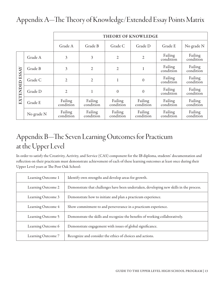|                |            | THEORY OF KNOWLEDGE  |                      |                      |                      |                      |                      |
|----------------|------------|----------------------|----------------------|----------------------|----------------------|----------------------|----------------------|
|                |            | Grade A              | Grade B              | Grade C              | Grade D              | Grade E              | No grade N           |
| EXTENDED ESSAY | Grade A    | 3                    | 3                    | $\overline{2}$       | $\overline{2}$       | Failing<br>condition | Failing<br>condition |
|                | Grade B    | $\overline{3}$       | $\overline{2}$       | $\overline{2}$       | 1                    | Failing<br>condition | Failing<br>condition |
|                | Grade C    | $\overline{2}$       | $\overline{2}$       | 1                    | $\theta$             | Failing<br>condition | Failing<br>condition |
|                | Grade D    | $\overline{2}$       |                      | $\theta$             | $\theta$             | Failing<br>condition | Failing<br>condition |
|                | Grade E    | Failing<br>condition | Failing<br>condition | Failing<br>condition | Failing<br>condition | Failing<br>condition | Failing<br>condition |
|                | No grade N | Failing<br>condition | Failing<br>condition | Failing<br>condition | Failing<br>condition | Failing<br>condition | Failing<br>condition |

## Appendix A—The Theory of Knowledge/Extended Essay Points Matrix

## Appendix B—The Seven Learning Outcomes for Practicum at the Upper Level

In order to satisfy the Creativity, Activity, and Service (CAS) component for the IB diploma, students' documentation and reflection on their practicum must demonstrate achievement of each of these learning outcomes at least once during their Upper Level years at The Post Oak School:

| Learning Outcome 1 | Identify own strengths and develop areas for growth.                                    |
|--------------------|-----------------------------------------------------------------------------------------|
| Learning Outcome 2 | Demonstrate that challenges have been undertaken, developing new skills in the process. |
| Learning Outcome 3 | Demonstrate how to initiate and plan a practicum experience.                            |
| Learning Outcome 4 | Show commitment to and perseverance in a practicum experience.                          |
| Learning Outcome 5 | Demonstrate the skills and recognize the benefits of working collaboratively.           |
| Learning Outcome 6 | Demonstrate engagement with issues of global significance.                              |
| Learning Outcome 7 | Recognize and consider the ethics of choices and actions.                               |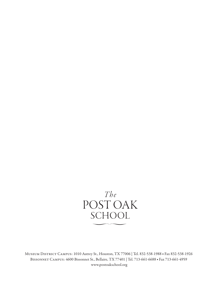

Museum District Campus: 1010 Autrey St., Houston, TX 77006 | Tel. 832-538-1988 ■ Fax 832-538-1926 Bissonnet Campus: 4600 Bissonnet St., Bellaire, TX 77401 | Tel. 713-661-6688 ■ Fax 713-661-4959 www.postoakschool.org